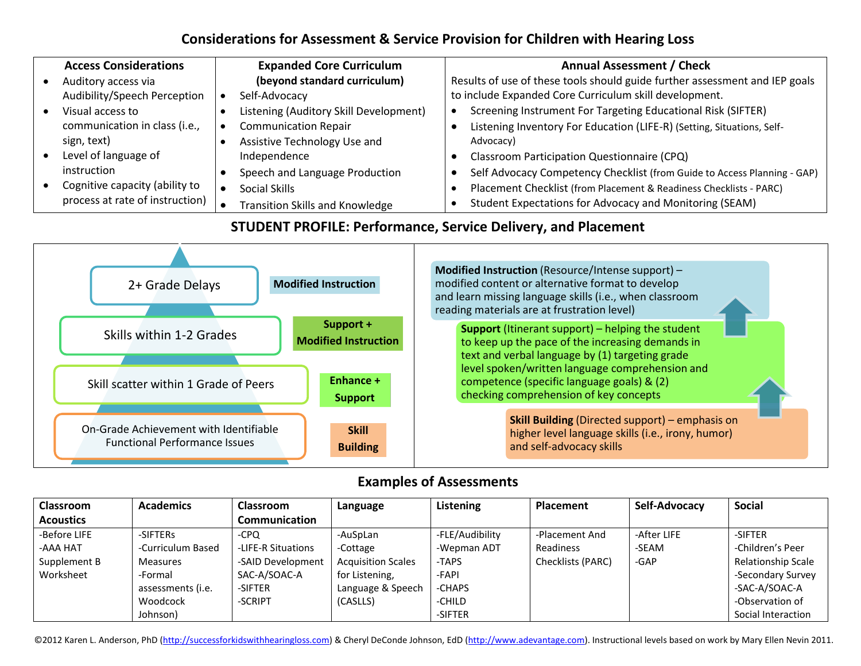## **Considerations for Assessment & Service Provision for Children with Hearing Loss**

| <b>Access Considerations</b>    | <b>Expanded Core Curriculum</b>        | <b>Annual Assessment / Check</b>                                            |
|---------------------------------|----------------------------------------|-----------------------------------------------------------------------------|
| Auditory access via             | (beyond standard curriculum)           | Results of use of these tools should guide further assessment and IEP goals |
| Audibility/Speech Perception    | Self-Advocacy                          | to include Expanded Core Curriculum skill development.                      |
| Visual access to                | Listening (Auditory Skill Development) | Screening Instrument For Targeting Educational Risk (SIFTER)                |
| communication in class (i.e.,   | <b>Communication Repair</b>            | Listening Inventory For Education (LIFE-R) (Setting, Situations, Self-      |
| sign, text)                     | Assistive Technology Use and           | Advocacy)                                                                   |
| Level of language of            | Independence                           | Classroom Participation Questionnaire (CPQ)                                 |
| instruction                     | Speech and Language Production         | Self Advocacy Competency Checklist (from Guide to Access Planning - GAP)    |
| Cognitive capacity (ability to  | Social Skills                          | Placement Checklist (from Placement & Readiness Checklists - PARC)          |
| process at rate of instruction) | Transition Skills and Knowledge        | Student Expectations for Advocacy and Monitoring (SEAM)                     |

## **STUDENT PROFILE: Performance, Service Delivery, and Placement**



## **Examples of Assessments**

| <b>Classroom</b> | <b>Academics</b>  | <b>Classroom</b>     | Language                  | Listening       | Placement         | Self-Advocacy | <b>Social</b>      |
|------------------|-------------------|----------------------|---------------------------|-----------------|-------------------|---------------|--------------------|
| <b>Acoustics</b> |                   | <b>Communication</b> |                           |                 |                   |               |                    |
| -Before LIFE     | -SIFTERs          | -CPO                 | -AuSpLan                  | -FLE/Audibility | -Placement And    | -After LIFE   | -SIFTER            |
| <b>AAA HAT</b>   | -Curriculum Based | -LIFE-R Situations   | -Cottage                  | -Wepman ADT     | Readiness         | -SEAM         | -Children's Peer   |
| Supplement B     | Measures          | -SAID Development    | <b>Acquisition Scales</b> | -TAPS           | Checklists (PARC) | -GAP          | Relationship Scale |
| Worksheet        | -Formal           | SAC-A/SOAC-A         | for Listening,            | -FAPI           |                   |               | -Secondary Survey  |
|                  | assessments (i.e. | -SIFTER              | Language & Speech         | -CHAPS          |                   |               | -SAC-A/SOAC-A      |
|                  | Woodcock          | -SCRIPT              | (CASLLS)                  | -CHILD          |                   |               | -Observation of    |
|                  | Johnson)          |                      |                           | -SIFTER         |                   |               | Social Interaction |

©2012 Karen L. Anderson, PhD (http://successforkidswithhearingloss.com) & Cheryl DeConde Johnson, EdD (http://www.adevantage.com). Instructional levels based on work by Mary Ellen Nevin 2011.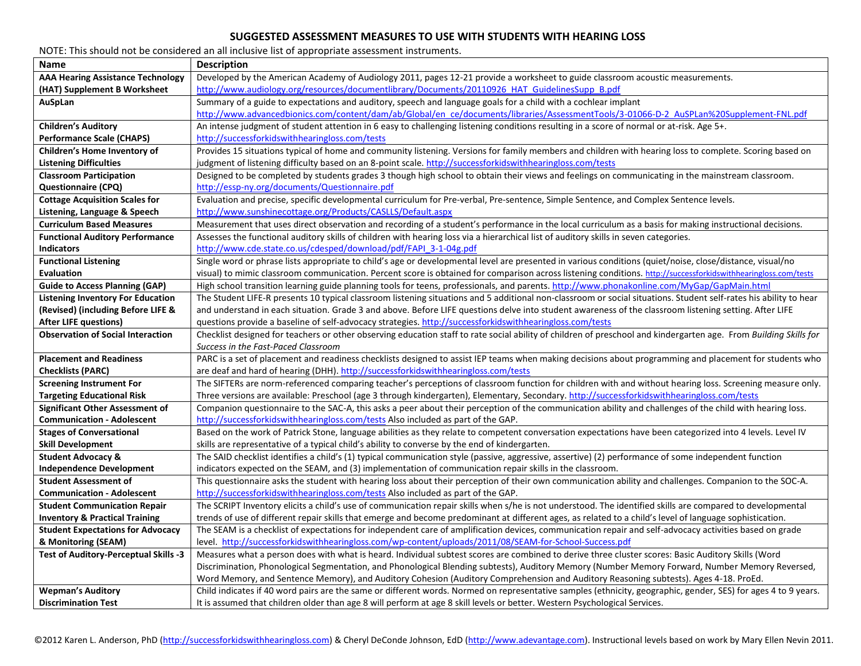## **SUGGESTED ASSESSMENT MEASURES TO USE WITH STUDENTS WITH HEARING LOSS**

| NOTE: This should not be considered an all inclusive list of appropriate assessment instruments. |                                                                                                                                                                   |  |  |  |  |
|--------------------------------------------------------------------------------------------------|-------------------------------------------------------------------------------------------------------------------------------------------------------------------|--|--|--|--|
| <b>Name</b>                                                                                      | <b>Description</b>                                                                                                                                                |  |  |  |  |
| <b>AAA Hearing Assistance Technology</b>                                                         | Developed by the American Academy of Audiology 2011, pages 12-21 provide a worksheet to guide classroom acoustic measurements.                                    |  |  |  |  |
| (HAT) Supplement B Worksheet                                                                     | http://www.audiology.org/resources/documentlibrary/Documents/20110926 HAT GuidelinesSupp B.pdf                                                                    |  |  |  |  |
| AuSpLan                                                                                          | Summary of a guide to expectations and auditory, speech and language goals for a child with a cochlear implant                                                    |  |  |  |  |
|                                                                                                  | http://www.advancedbionics.com/content/dam/ab/Global/en_ce/documents/libraries/AssessmentTools/3-01066-D-2_AuSPLan%20Supplement-FNL.pdf                           |  |  |  |  |
| <b>Children's Auditory</b>                                                                       | An intense judgment of student attention in 6 easy to challenging listening conditions resulting in a score of normal or at-risk. Age 5+.                         |  |  |  |  |
| <b>Performance Scale (CHAPS)</b>                                                                 | http://successforkidswithhearingloss.com/tests                                                                                                                    |  |  |  |  |
| Children's Home Inventory of                                                                     | Provides 15 situations typical of home and community listening. Versions for family members and children with hearing loss to complete. Scoring based on          |  |  |  |  |
| <b>Listening Difficulties</b>                                                                    | judgment of listening difficulty based on an 8-point scale. http://successforkidswithhearingloss.com/tests                                                        |  |  |  |  |
| <b>Classroom Participation</b>                                                                   | Designed to be completed by students grades 3 though high school to obtain their views and feelings on communicating in the mainstream classroom.                 |  |  |  |  |
| <b>Questionnaire (CPQ)</b>                                                                       | http://essp-ny.org/documents/Questionnaire.pdf                                                                                                                    |  |  |  |  |
| <b>Cottage Acquisition Scales for</b>                                                            | Evaluation and precise, specific developmental curriculum for Pre-verbal, Pre-sentence, Simple Sentence, and Complex Sentence levels.                             |  |  |  |  |
| Listening, Language & Speech                                                                     | http://www.sunshinecottage.org/Products/CASLLS/Default.aspx                                                                                                       |  |  |  |  |
| <b>Curriculum Based Measures</b>                                                                 | Measurement that uses direct observation and recording of a student's performance in the local curriculum as a basis for making instructional decisions.          |  |  |  |  |
| <b>Functional Auditory Performance</b>                                                           | Assesses the functional auditory skills of children with hearing loss via a hierarchical list of auditory skills in seven categories.                             |  |  |  |  |
| <b>Indicators</b>                                                                                | http://www.cde.state.co.us/cdesped/download/pdf/FAPI 3-1-04g.pdf                                                                                                  |  |  |  |  |
| <b>Functional Listening</b>                                                                      | Single word or phrase lists appropriate to child's age or developmental level are presented in various conditions (quiet/noise, close/distance, visual/no         |  |  |  |  |
| <b>Evaluation</b>                                                                                | visual) to mimic classroom communication. Percent score is obtained for comparison across listening conditions. http://successforkidswithhearingloss.com/tests    |  |  |  |  |
| <b>Guide to Access Planning (GAP)</b>                                                            | High school transition learning guide planning tools for teens, professionals, and parents. http://www.phonakonline.com/MyGap/GapMain.html                        |  |  |  |  |
| <b>Listening Inventory For Education</b>                                                         | The Student LIFE-R presents 10 typical classroom listening situations and 5 additional non-classroom or social situations. Student self-rates his ability to hear |  |  |  |  |
| (Revised) (including Before LIFE &                                                               | and understand in each situation. Grade 3 and above. Before LIFE questions delve into student awareness of the classroom listening setting. After LIFE            |  |  |  |  |
| <b>After LIFE questions)</b>                                                                     | questions provide a baseline of self-advocacy strategies. http://successforkidswithhearingloss.com/tests                                                          |  |  |  |  |
| <b>Observation of Social Interaction</b>                                                         | Checklist designed for teachers or other observing education staff to rate social ability of children of preschool and kindergarten age. From Building Skills for |  |  |  |  |
|                                                                                                  | Success in the Fast-Paced Classroom                                                                                                                               |  |  |  |  |
| <b>Placement and Readiness</b>                                                                   | PARC is a set of placement and readiness checklists designed to assist IEP teams when making decisions about programming and placement for students who           |  |  |  |  |
| <b>Checklists (PARC)</b>                                                                         | are deaf and hard of hearing (DHH). http://successforkidswithhearingloss.com/tests                                                                                |  |  |  |  |
| <b>Screening Instrument For</b>                                                                  | The SIFTERs are norm-referenced comparing teacher's perceptions of classroom function for children with and without hearing loss. Screening measure only.         |  |  |  |  |
| <b>Targeting Educational Risk</b>                                                                | Three versions are available: Preschool (age 3 through kindergarten), Elementary, Secondary, http://successforkidswithhearingloss.com/tests                       |  |  |  |  |
| <b>Significant Other Assessment of</b>                                                           | Companion questionnaire to the SAC-A, this asks a peer about their perception of the communication ability and challenges of the child with hearing loss.         |  |  |  |  |
| <b>Communication - Adolescent</b>                                                                | http://successforkidswithhearingloss.com/tests Also included as part of the GAP.                                                                                  |  |  |  |  |
| <b>Stages of Conversational</b>                                                                  | Based on the work of Patrick Stone, language abilities as they relate to competent conversation expectations have been categorized into 4 levels. Level IV        |  |  |  |  |
| <b>Skill Development</b>                                                                         | skills are representative of a typical child's ability to converse by the end of kindergarten.                                                                    |  |  |  |  |
| <b>Student Advocacy &amp;</b>                                                                    | The SAID checklist identifies a child's (1) typical communication style (passive, aggressive, assertive) (2) performance of some independent function             |  |  |  |  |
| <b>Independence Development</b>                                                                  | indicators expected on the SEAM, and (3) implementation of communication repair skills in the classroom.                                                          |  |  |  |  |
| <b>Student Assessment of</b>                                                                     | This questionnaire asks the student with hearing loss about their perception of their own communication ability and challenges. Companion to the SOC-A.           |  |  |  |  |
| <b>Communication - Adolescent</b>                                                                | http://successforkidswithhearingloss.com/tests Also included as part of the GAP.                                                                                  |  |  |  |  |
| <b>Student Communication Repair</b>                                                              | The SCRIPT Inventory elicits a child's use of communication repair skills when s/he is not understood. The identified skills are compared to developmental        |  |  |  |  |
| <b>Inventory &amp; Practical Training</b>                                                        | trends of use of different repair skills that emerge and become predominant at different ages, as related to a child's level of language sophistication.          |  |  |  |  |
| <b>Student Expectations for Advocacy</b>                                                         | The SEAM is a checklist of expectations for independent care of amplification devices, communication repair and self-advocacy activities based on grade           |  |  |  |  |
| & Monitoring (SEAM)                                                                              | level. http://successforkidswithhearingloss.com/wp-content/uploads/2011/08/SEAM-for-School-Success.pdf                                                            |  |  |  |  |
| Test of Auditory-Perceptual Skills -3                                                            | Measures what a person does with what is heard. Individual subtest scores are combined to derive three cluster scores: Basic Auditory Skills (Word                |  |  |  |  |
|                                                                                                  | Discrimination, Phonological Segmentation, and Phonological Blending subtests), Auditory Memory (Number Memory Forward, Number Memory Reversed,                   |  |  |  |  |
|                                                                                                  | Word Memory, and Sentence Memory), and Auditory Cohesion (Auditory Comprehension and Auditory Reasoning subtests). Ages 4-18. ProEd.                              |  |  |  |  |
| <b>Wepman's Auditory</b>                                                                         | Child indicates if 40 word pairs are the same or different words. Normed on representative samples (ethnicity, geographic, gender, SES) for ages 4 to 9 years.    |  |  |  |  |
| <b>Discrimination Test</b>                                                                       | It is assumed that children older than age 8 will perform at age 8 skill levels or better. Western Psychological Services.                                        |  |  |  |  |